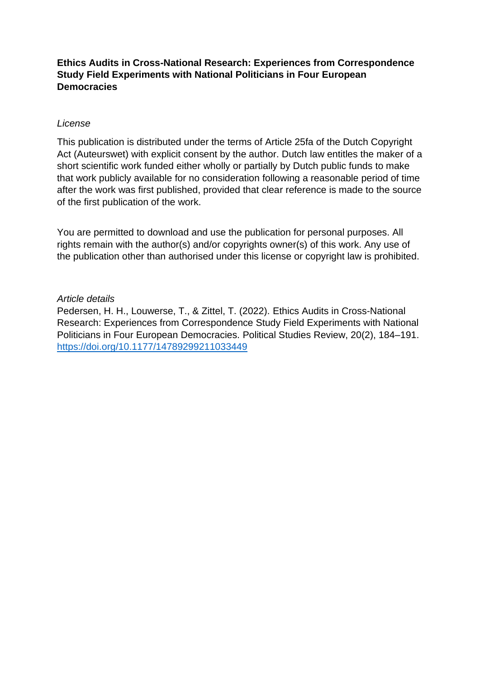# **Ethics Audits in Cross-National Research: Experiences from Correspondence Study Field Experiments with National Politicians in Four European Democracies**

# *License*

This publication is distributed under the terms of Article 25fa of the Dutch Copyright Act (Auteurswet) with explicit consent by the author. Dutch law entitles the maker of a short scientific work funded either wholly or partially by Dutch public funds to make that work publicly available for no consideration following a reasonable period of time after the work was first published, provided that clear reference is made to the source of the first publication of the work.

You are permitted to download and use the publication for personal purposes. All rights remain with the author(s) and/or copyrights owner(s) of this work. Any use of the publication other than authorised under this license or copyright law is prohibited.

# *Article details*

Pedersen, H. H., Louwerse, T., & Zittel, T. (2022). Ethics Audits in Cross-National Research: Experiences from Correspondence Study Field Experiments with National Politicians in Four European Democracies. Political Studies Review, 20(2), 184–191. <https://doi.org/10.1177/14789299211033449>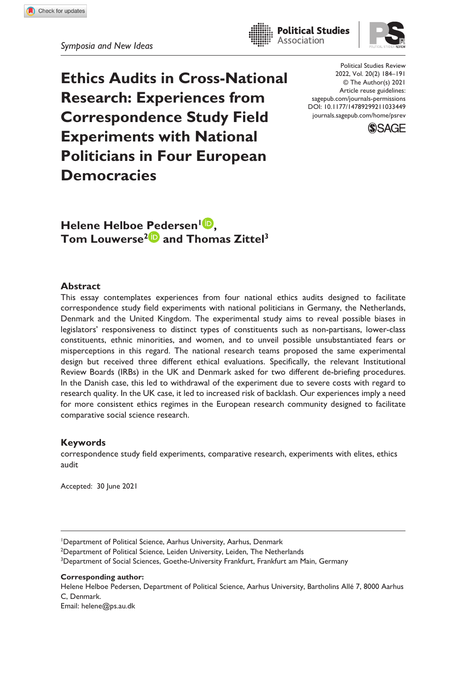Association



**Ethics Audits in Cross-National Research: Experiences from Correspondence Study Field Experiments with National Politicians in Four European Democracies**

https://doi.org/10.1177/14789299211033449 DOI: 10.1177/14789299211033449 Political Studies Review 2022, Vol. 20(2) 184–191 © The Author(s) 2021 Article reuse guidelines: [sagepub.com/journals-permissions](https://uk.sagepub.com/en-gb/journals-permissions) [journals.sagepub.com/home/psrev](https://journals.sagepub.com/home/psrev)



**Helene Helboe Pedersen<sup>1</sup><sup>1</sup>** Tom Louwerse<sup>2</sup> and Thomas Zittel<sup>3</sup>

### **Abstract**

This essay contemplates experiences from four national ethics audits designed to facilitate correspondence study field experiments with national politicians in Germany, the Netherlands, Denmark and the United Kingdom. The experimental study aims to reveal possible biases in legislators' responsiveness to distinct types of constituents such as non-partisans, lower-class constituents, ethnic minorities, and women, and to unveil possible unsubstantiated fears or misperceptions in this regard. The national research teams proposed the same experimental design but received three different ethical evaluations. Specifically, the relevant Institutional Review Boards (IRBs) in the UK and Denmark asked for two different de-briefing procedures. In the Danish case, this led to withdrawal of the experiment due to severe costs with regard to research quality. In the UK case, it led to increased risk of backlash. Our experiences imply a need for more consistent ethics regimes in the European research community designed to facilitate comparative social science research.

### **Keywords**

correspondence study field experiments, comparative research, experiments with elites, ethics audit

Accepted: 30 June 2021

<sup>2</sup>Department of Political Science, Leiden University, Leiden, The Netherlands

<sup>3</sup>Department of Social Sciences, Goethe-University Frankfurt, Frankfurt am Main, Germany

**Corresponding author:**

Helene Helboe Pedersen, Department of Political Science, Aarhus University, Bartholins Allé 7, 8000 Aarhus C, Denmark. Email: [helene@ps.au.dk](mailto:helene@ps.au.dk)

<sup>1</sup> Department of Political Science, Aarhus University, Aarhus, Denmark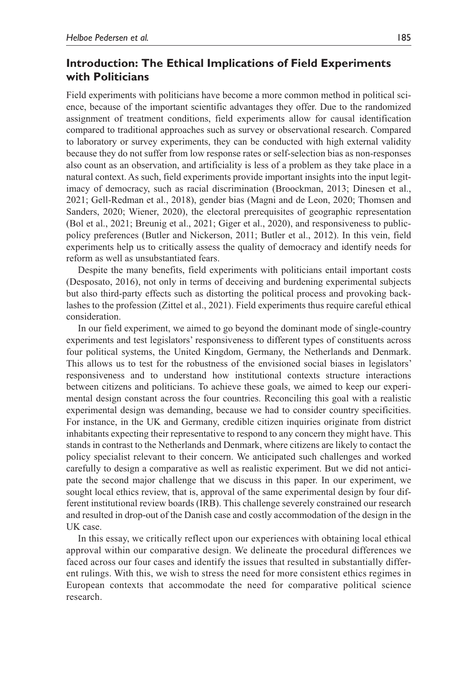## **Introduction: The Ethical Implications of Field Experiments with Politicians**

Field experiments with politicians have become a more common method in political science, because of the important scientific advantages they offer. Due to the randomized assignment of treatment conditions, field experiments allow for causal identification compared to traditional approaches such as survey or observational research. Compared to laboratory or survey experiments, they can be conducted with high external validity because they do not suffer from low response rates or self-selection bias as non-responses also count as an observation, and artificiality is less of a problem as they take place in a natural context. As such, field experiments provide important insights into the input legitimacy of democracy, such as racial discrimination (Broockman, 2013; Dinesen et al., 2021; Gell-Redman et al., 2018), gender bias (Magni and de Leon, 2020; Thomsen and Sanders, 2020; Wiener, 2020), the electoral prerequisites of geographic representation (Bol et al., 2021; Breunig et al., 2021; Giger et al., 2020), and responsiveness to publicpolicy preferences (Butler and Nickerson, 2011; Butler et al., 2012). In this vein, field experiments help us to critically assess the quality of democracy and identify needs for reform as well as unsubstantiated fears.

Despite the many benefits, field experiments with politicians entail important costs (Desposato, 2016), not only in terms of deceiving and burdening experimental subjects but also third-party effects such as distorting the political process and provoking backlashes to the profession (Zittel et al., 2021). Field experiments thus require careful ethical consideration.

In our field experiment, we aimed to go beyond the dominant mode of single-country experiments and test legislators' responsiveness to different types of constituents across four political systems, the United Kingdom, Germany, the Netherlands and Denmark. This allows us to test for the robustness of the envisioned social biases in legislators' responsiveness and to understand how institutional contexts structure interactions between citizens and politicians. To achieve these goals, we aimed to keep our experimental design constant across the four countries. Reconciling this goal with a realistic experimental design was demanding, because we had to consider country specificities. For instance, in the UK and Germany, credible citizen inquiries originate from district inhabitants expecting their representative to respond to any concern they might have. This stands in contrast to the Netherlands and Denmark, where citizens are likely to contact the policy specialist relevant to their concern. We anticipated such challenges and worked carefully to design a comparative as well as realistic experiment. But we did not anticipate the second major challenge that we discuss in this paper. In our experiment, we sought local ethics review, that is, approval of the same experimental design by four different institutional review boards (IRB). This challenge severely constrained our research and resulted in drop-out of the Danish case and costly accommodation of the design in the UK case.

In this essay, we critically reflect upon our experiences with obtaining local ethical approval within our comparative design. We delineate the procedural differences we faced across our four cases and identify the issues that resulted in substantially different rulings. With this, we wish to stress the need for more consistent ethics regimes in European contexts that accommodate the need for comparative political science research.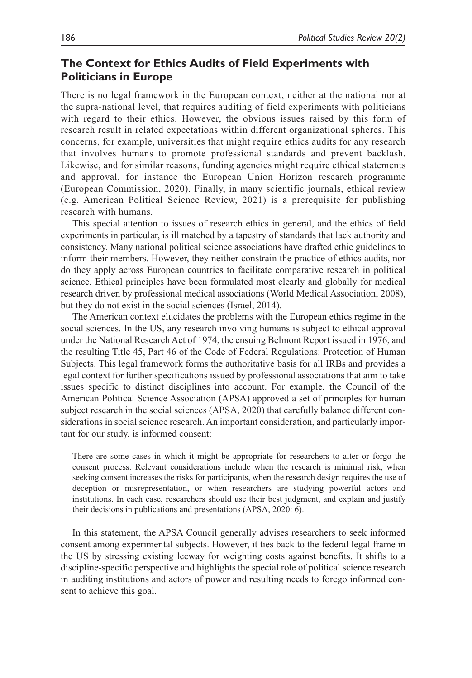## **The Context for Ethics Audits of Field Experiments with Politicians in Europe**

There is no legal framework in the European context, neither at the national nor at the supra-national level, that requires auditing of field experiments with politicians with regard to their ethics. However, the obvious issues raised by this form of research result in related expectations within different organizational spheres. This concerns, for example, universities that might require ethics audits for any research that involves humans to promote professional standards and prevent backlash. Likewise, and for similar reasons, funding agencies might require ethical statements and approval, for instance the European Union Horizon research programme (European Commission, 2020). Finally, in many scientific journals, ethical review (e.g. American Political Science Review, 2021) is a prerequisite for publishing research with humans.

This special attention to issues of research ethics in general, and the ethics of field experiments in particular, is ill matched by a tapestry of standards that lack authority and consistency. Many national political science associations have drafted ethic guidelines to inform their members. However, they neither constrain the practice of ethics audits, nor do they apply across European countries to facilitate comparative research in political science. Ethical principles have been formulated most clearly and globally for medical research driven by professional medical associations (World Medical Association, 2008), but they do not exist in the social sciences (Israel, 2014).

The American context elucidates the problems with the European ethics regime in the social sciences. In the US, any research involving humans is subject to ethical approval under the National Research Act of 1974, the ensuing Belmont Report issued in 1976, and the resulting Title 45, Part 46 of the Code of Federal Regulations: Protection of Human Subjects. This legal framework forms the authoritative basis for all IRBs and provides a legal context for further specifications issued by professional associations that aim to take issues specific to distinct disciplines into account. For example, the Council of the American Political Science Association (APSA) approved a set of principles for human subject research in the social sciences (APSA, 2020) that carefully balance different considerations in social science research. An important consideration, and particularly important for our study, is informed consent:

There are some cases in which it might be appropriate for researchers to alter or forgo the consent process. Relevant considerations include when the research is minimal risk, when seeking consent increases the risks for participants, when the research design requires the use of deception or misrepresentation, or when researchers are studying powerful actors and institutions. In each case, researchers should use their best judgment, and explain and justify their decisions in publications and presentations (APSA, 2020: 6).

In this statement, the APSA Council generally advises researchers to seek informed consent among experimental subjects. However, it ties back to the federal legal frame in the US by stressing existing leeway for weighting costs against benefits. It shifts to a discipline-specific perspective and highlights the special role of political science research in auditing institutions and actors of power and resulting needs to forego informed consent to achieve this goal.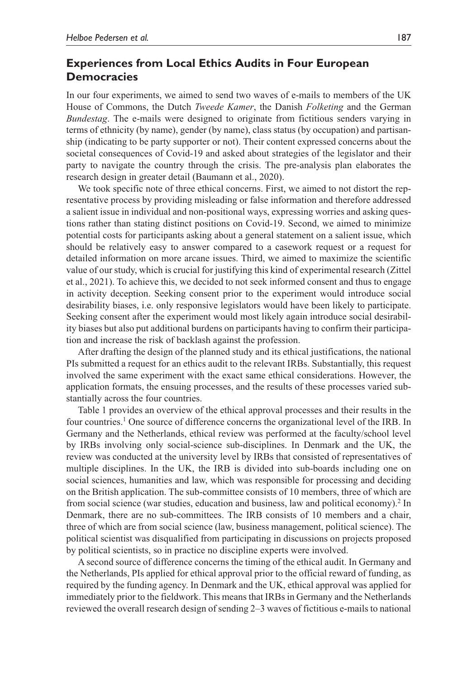## **Experiences from Local Ethics Audits in Four European Democracies**

In our four experiments, we aimed to send two waves of e-mails to members of the UK House of Commons, the Dutch *Tweede Kamer*, the Danish *Folketing* and the German *Bundestag*. The e-mails were designed to originate from fictitious senders varying in terms of ethnicity (by name), gender (by name), class status (by occupation) and partisanship (indicating to be party supporter or not). Their content expressed concerns about the societal consequences of Covid-19 and asked about strategies of the legislator and their party to navigate the country through the crisis. The pre-analysis plan elaborates the research design in greater detail (Baumann et al., 2020).

We took specific note of three ethical concerns. First, we aimed to not distort the representative process by providing misleading or false information and therefore addressed a salient issue in individual and non-positional ways, expressing worries and asking questions rather than stating distinct positions on Covid-19. Second, we aimed to minimize potential costs for participants asking about a general statement on a salient issue, which should be relatively easy to answer compared to a casework request or a request for detailed information on more arcane issues. Third, we aimed to maximize the scientific value of our study, which is crucial for justifying this kind of experimental research (Zittel et al., 2021). To achieve this, we decided to not seek informed consent and thus to engage in activity deception. Seeking consent prior to the experiment would introduce social desirability biases, i.e. only responsive legislators would have been likely to participate. Seeking consent after the experiment would most likely again introduce social desirability biases but also put additional burdens on participants having to confirm their participation and increase the risk of backlash against the profession.

After drafting the design of the planned study and its ethical justifications, the national PIs submitted a request for an ethics audit to the relevant IRBs. Substantially, this request involved the same experiment with the exact same ethical considerations. However, the application formats, the ensuing processes, and the results of these processes varied substantially across the four countries.

Table 1 provides an overview of the ethical approval processes and their results in the four countries.<sup>1</sup> One source of difference concerns the organizational level of the IRB. In Germany and the Netherlands, ethical review was performed at the faculty/school level by IRBs involving only social-science sub-disciplines. In Denmark and the UK, the review was conducted at the university level by IRBs that consisted of representatives of multiple disciplines. In the UK, the IRB is divided into sub-boards including one on social sciences, humanities and law, which was responsible for processing and deciding on the British application. The sub-committee consists of 10 members, three of which are from social science (war studies, education and business, law and political economy).<sup>2</sup> In Denmark, there are no sub-committees. The IRB consists of 10 members and a chair, three of which are from social science (law, business management, political science). The political scientist was disqualified from participating in discussions on projects proposed by political scientists, so in practice no discipline experts were involved.

A second source of difference concerns the timing of the ethical audit. In Germany and the Netherlands, PIs applied for ethical approval prior to the official reward of funding, as required by the funding agency. In Denmark and the UK, ethical approval was applied for immediately prior to the fieldwork. This means that IRBs in Germany and the Netherlands reviewed the overall research design of sending 2–3 waves of fictitious e-mails to national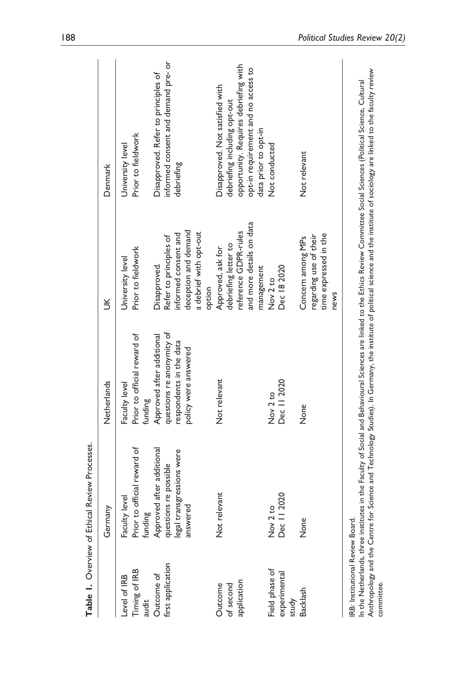|                                                | Table 1. Overview of Ethical Review Processes.                                  |                                                                                   |                                                                                                             |                                                                                                                                                                                                                                                                                                                                                                  |
|------------------------------------------------|---------------------------------------------------------------------------------|-----------------------------------------------------------------------------------|-------------------------------------------------------------------------------------------------------------|------------------------------------------------------------------------------------------------------------------------------------------------------------------------------------------------------------------------------------------------------------------------------------------------------------------------------------------------------------------|
|                                                | Germany                                                                         | Netherlands                                                                       | $\leq$                                                                                                      | Denmark                                                                                                                                                                                                                                                                                                                                                          |
| Timing of IRB<br>Level of IRB<br>audit         | Prior to official reward of<br>Faculty level<br>funding                         | Prior to official reward of<br>Faculty level<br>funding                           | Prior to fieldwork<br>University level                                                                      | Prior to fieldwork<br>University level                                                                                                                                                                                                                                                                                                                           |
| first application<br>Outcome of                | Approved after additional<br>legal transgressions were<br>questions re possible | questions re anonymity of<br>Approved after additional<br>respondents in the data | informed consent and<br>Refer to principles of<br>Disapproved.                                              | informed consent and demand pre- or<br>Disapproved. Refer to principles of<br>debriefing                                                                                                                                                                                                                                                                         |
|                                                | answered                                                                        | policy were answered                                                              | deception and demand<br>a debrief with opt-out<br>option                                                    |                                                                                                                                                                                                                                                                                                                                                                  |
| application<br>of second<br>Outcome            | Not relevant                                                                    | Not relevant                                                                      | and more details on data<br>reference GDPR-rules<br>debriefing letter to<br>Approved, ask for<br>management | opportunity. Requires debriefing with<br>opt-in requirement and no access to<br>Disapproved. Not satisfied with<br>debriefing including opt-out<br>data prior to opt-in                                                                                                                                                                                          |
| Field phase of<br>experimental<br>study        | Dec     2020<br>Nov 2 to                                                        | Dec 11 2020<br>Nov 2 to                                                           | Dec 18 2020<br>Nov 2 to                                                                                     | Not conducted                                                                                                                                                                                                                                                                                                                                                    |
| Backlash                                       | None                                                                            | None                                                                              | time expressed in the<br>regarding use of their<br>Concern among MPs<br>news                                | Not relevant                                                                                                                                                                                                                                                                                                                                                     |
| IRB: Institutional Review Board.<br>committee. |                                                                                 |                                                                                   |                                                                                                             | Anthropology and the Centre for Science and Technology Studies). In Germany, the institute of political science and the institute of sociology are linked to the faculty review<br>In the Netherlands, three institutes in the Faculty of Social and Behavioural Sciences are linked to the Ethics Review Committee Social Sciences (Political Science, Cultural |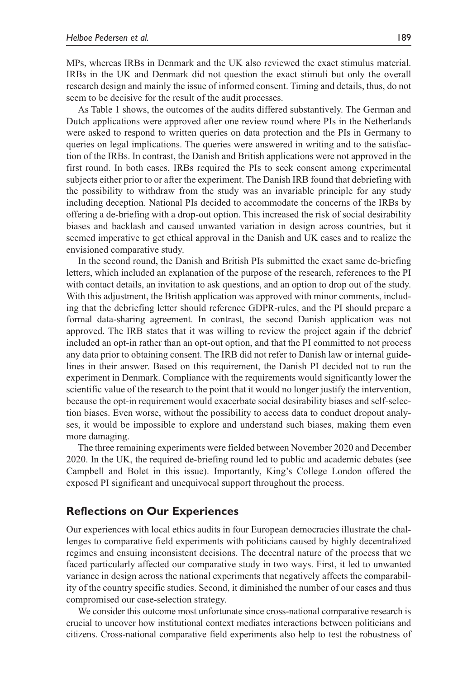MPs, whereas IRBs in Denmark and the UK also reviewed the exact stimulus material. IRBs in the UK and Denmark did not question the exact stimuli but only the overall research design and mainly the issue of informed consent. Timing and details, thus, do not seem to be decisive for the result of the audit processes.

As Table 1 shows, the outcomes of the audits differed substantively. The German and Dutch applications were approved after one review round where PIs in the Netherlands were asked to respond to written queries on data protection and the PIs in Germany to queries on legal implications. The queries were answered in writing and to the satisfaction of the IRBs. In contrast, the Danish and British applications were not approved in the first round. In both cases, IRBs required the PIs to seek consent among experimental subjects either prior to or after the experiment. The Danish IRB found that debriefing with the possibility to withdraw from the study was an invariable principle for any study including deception. National PIs decided to accommodate the concerns of the IRBs by offering a de-briefing with a drop-out option. This increased the risk of social desirability biases and backlash and caused unwanted variation in design across countries, but it seemed imperative to get ethical approval in the Danish and UK cases and to realize the envisioned comparative study.

In the second round, the Danish and British PIs submitted the exact same de-briefing letters, which included an explanation of the purpose of the research, references to the PI with contact details, an invitation to ask questions, and an option to drop out of the study. With this adjustment, the British application was approved with minor comments, including that the debriefing letter should reference GDPR-rules, and the PI should prepare a formal data-sharing agreement. In contrast, the second Danish application was not approved. The IRB states that it was willing to review the project again if the debrief included an opt-in rather than an opt-out option, and that the PI committed to not process any data prior to obtaining consent. The IRB did not refer to Danish law or internal guidelines in their answer. Based on this requirement, the Danish PI decided not to run the experiment in Denmark. Compliance with the requirements would significantly lower the scientific value of the research to the point that it would no longer justify the intervention, because the opt-in requirement would exacerbate social desirability biases and self-selection biases. Even worse, without the possibility to access data to conduct dropout analyses, it would be impossible to explore and understand such biases, making them even more damaging.

The three remaining experiments were fielded between November 2020 and December 2020. In the UK, the required de-briefing round led to public and academic debates (see Campbell and Bolet in this issue). Importantly, King's College London offered the exposed PI significant and unequivocal support throughout the process.

### **Reflections on Our Experiences**

Our experiences with local ethics audits in four European democracies illustrate the challenges to comparative field experiments with politicians caused by highly decentralized regimes and ensuing inconsistent decisions. The decentral nature of the process that we faced particularly affected our comparative study in two ways. First, it led to unwanted variance in design across the national experiments that negatively affects the comparability of the country specific studies. Second, it diminished the number of our cases and thus compromised our case-selection strategy.

We consider this outcome most unfortunate since cross-national comparative research is crucial to uncover how institutional context mediates interactions between politicians and citizens. Cross-national comparative field experiments also help to test the robustness of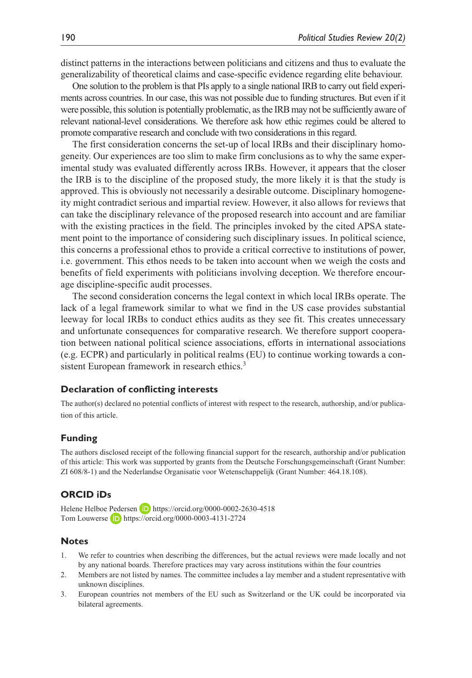distinct patterns in the interactions between politicians and citizens and thus to evaluate the generalizability of theoretical claims and case-specific evidence regarding elite behaviour.

One solution to the problem is that PIs apply to a single national IRB to carry out field experiments across countries. In our case, this was not possible due to funding structures. But even if it were possible, this solution is potentially problematic, as the IRB may not be sufficiently aware of relevant national-level considerations. We therefore ask how ethic regimes could be altered to promote comparative research and conclude with two considerations in this regard.

The first consideration concerns the set-up of local IRBs and their disciplinary homogeneity. Our experiences are too slim to make firm conclusions as to why the same experimental study was evaluated differently across IRBs. However, it appears that the closer the IRB is to the discipline of the proposed study, the more likely it is that the study is approved. This is obviously not necessarily a desirable outcome. Disciplinary homogeneity might contradict serious and impartial review. However, it also allows for reviews that can take the disciplinary relevance of the proposed research into account and are familiar with the existing practices in the field. The principles invoked by the cited APSA statement point to the importance of considering such disciplinary issues. In political science, this concerns a professional ethos to provide a critical corrective to institutions of power, i.e. government. This ethos needs to be taken into account when we weigh the costs and benefits of field experiments with politicians involving deception. We therefore encourage discipline-specific audit processes.

The second consideration concerns the legal context in which local IRBs operate. The lack of a legal framework similar to what we find in the US case provides substantial leeway for local IRBs to conduct ethics audits as they see fit. This creates unnecessary and unfortunate consequences for comparative research. We therefore support cooperation between national political science associations, efforts in international associations (e.g. ECPR) and particularly in political realms (EU) to continue working towards a consistent European framework in research ethics.<sup>3</sup>

### **Declaration of conflicting interests**

The author(s) declared no potential conflicts of interest with respect to the research, authorship, and/or publication of this article.

### **Funding**

The authors disclosed receipt of the following financial support for the research, authorship and/or publication of this article: This work was supported by grants from the Deutsche Forschungsgemeinschaft (Grant Number: ZI 608/8-1) and the Nederlandse Organisatie voor Wetenschappelijk (Grant Number: 464.18.108).

### **ORCID iDs**

Helene Helboe Pedersen **D** <https://orcid.org/0000-0002-2630-4518> Tom Louwerse **D** <https://orcid.org/0000-0003-4131-2724>

#### **Notes**

- 1. We refer to countries when describing the differences, but the actual reviews were made locally and not by any national boards. Therefore practices may vary across institutions within the four countries
- 2. Members are not listed by names. The committee includes a lay member and a student representative with unknown disciplines.
- 3. European countries not members of the EU such as Switzerland or the UK could be incorporated via bilateral agreements.